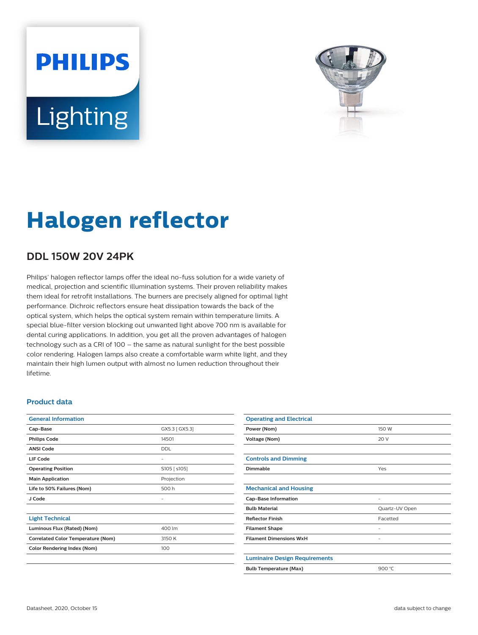# **PHILIPS** Lighting



# **Halogen reflector**

## **DDL 150W 20V 24PK**

Philips' halogen reflector lamps offer the ideal no-fuss solution for a wide variety of medical, projection and scientific illumination systems. Their proven reliability makes them ideal for retrofit installations. The burners are precisely aligned for optimal light performance. Dichroic reflectors ensure heat dissipation towards the back of the optical system, which helps the optical system remain within temperature limits. A special blue-filter version blocking out unwanted light above 700 nm is available for dental curing applications. In addition, you get all the proven advantages of halogen technology such as a CRI of 100 – the same as natural sunlight for the best possible color rendering. Halogen lamps also create a comfortable warm white light, and they maintain their high lumen output with almost no lumen reduction throughout their lifetime.

#### **Product data**

| <b>General Information</b>                |                |
|-------------------------------------------|----------------|
| Cap-Base                                  | GX5.3 [ GX5.3] |
| <b>Philips Code</b>                       | 14501          |
| <b>ANSI Code</b>                          | <b>DDL</b>     |
| LIF Code                                  |                |
| <b>Operating Position</b>                 | S105 [ s105]   |
| <b>Main Application</b>                   | Projection     |
| Life to 50% Failures (Nom)                | 500 h          |
| J Code                                    |                |
|                                           |                |
| <b>Light Technical</b>                    |                |
| Luminous Flux (Rated) (Nom)               | 400 lm         |
| <b>Correlated Color Temperature (Nom)</b> | 3150 K         |
| <b>Color Rendering Index (Nom)</b>        | 100            |
|                                           |                |

| <b>Operating and Electrical</b>      |                |
|--------------------------------------|----------------|
| Power (Nom)                          | 150 W          |
| Voltage (Nom)                        | 20 V           |
|                                      |                |
| <b>Controls and Dimming</b>          |                |
| Dimmable                             | Yes            |
|                                      |                |
| <b>Mechanical and Housing</b>        |                |
| <b>Cap-Base Information</b>          |                |
| <b>Bulb Material</b>                 | Quartz-UV Open |
| <b>Reflector Finish</b>              | Facetted       |
| <b>Filament Shape</b>                |                |
| <b>Filament Dimensions WxH</b>       |                |
|                                      |                |
| <b>Luminaire Design Requirements</b> |                |
| <b>Bulb Temperature (Max)</b>        | 900 °C         |
|                                      |                |